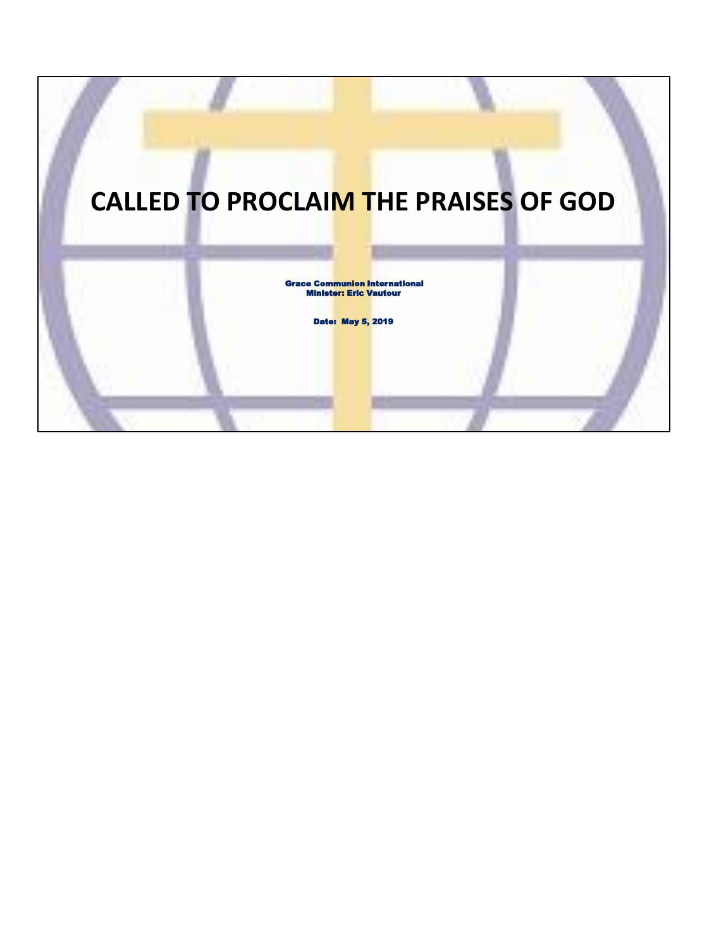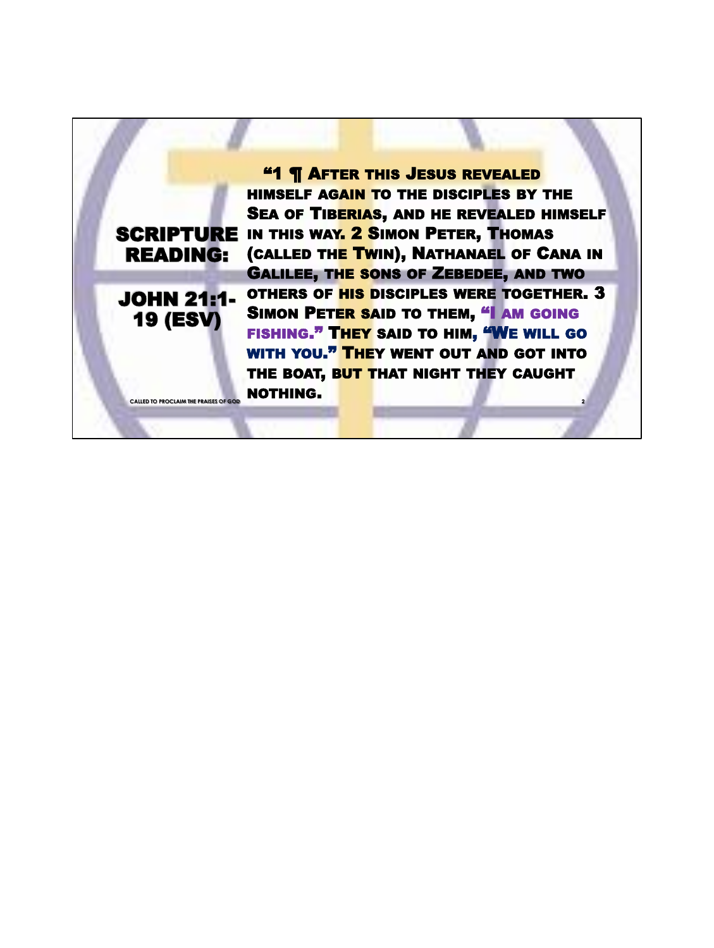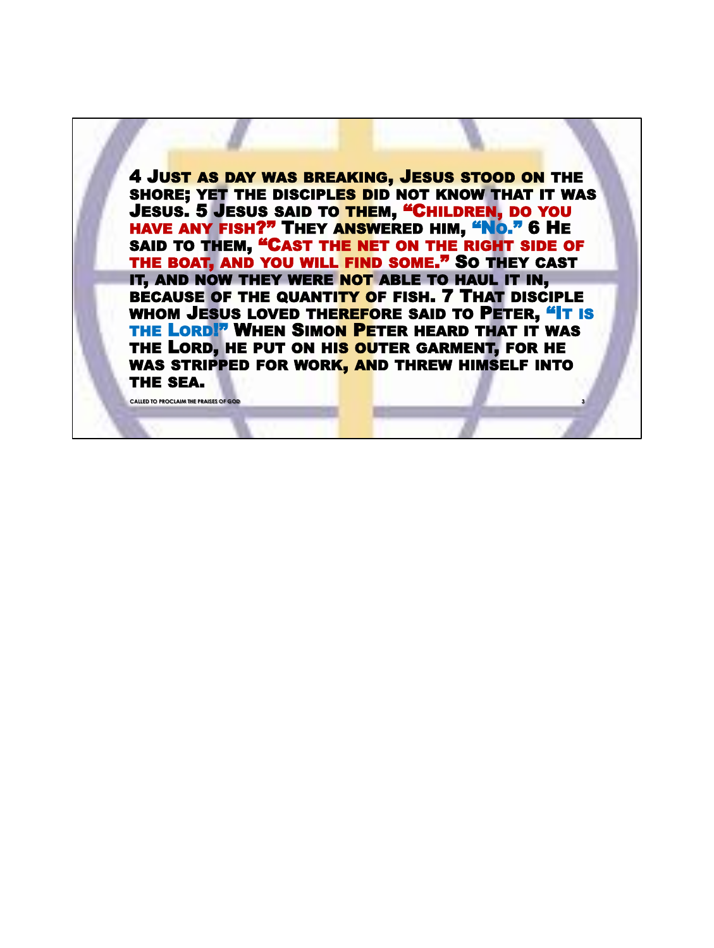4 JUST AS DAY WAS BREAKING, JESUS STOOD ON THE SHORE; YET THE DISCIPLES DID NOT KNOW THAT IT WAS JESUS. 5 JESUS SAID TO THEM, "CHILDREN, DO YOU HAVE ANY FISH?" THEY ANSWERED HIM, "No." 6 HE SAID TO THEM, "CAST THE NET ON THE RIGHT SIDE OF THE BOAT, AND YOU WILL FIND SOME." SO THEY CAST IT, AND NOW THEY WERE NOT ABLE TO HAUL IT IN, BECAUSE OF THE QUANTITY OF FISH. 7 THAT DISCIPLE WHOM JESUS LOVED THEREFORE SAID TO PETER, "IT IS THE LORD!" WHEN SIMON PETER HEARD THAT IT WAS THE LORD, HE PUT ON HIS OUTER GARMENT, FOR HE WAS STRIPPED FOR WORK, AND THREW HIMSELF INTO THE SEA.

**CALLED TO PROCLAIM THE PRAISES OF GO**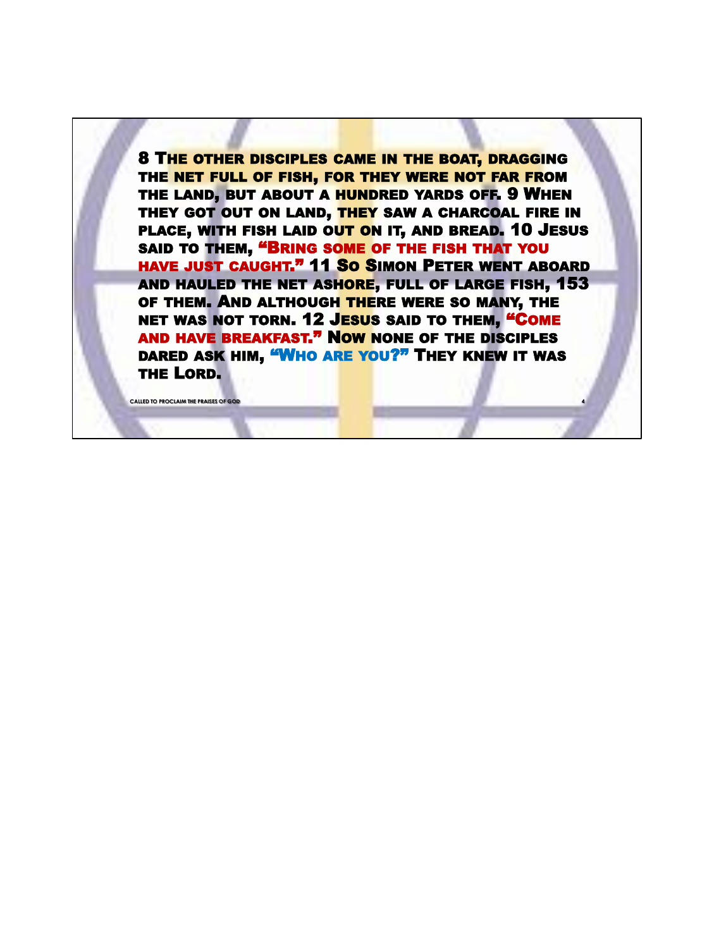8 THE OTHER DISCIPLES CAME IN THE BOAT, DRAGGING THE NET FULL OF FISH, FOR THEY WERE NOT FAR FROM THE LAND, BUT ABOUT A HUNDRED YARDS OFF. 9 WHEN THEY GOT OUT ON LAND, THEY SAW A CHARCOAL FIRE IN PLACE, WITH FISH LAID OUT ON IT, AND BREAD. 10 JESUS SAID TO THEM, "BRING SOME OF THE FISH THAT YOU HAVE JUST CAUGHT." 11 So SIMON PETER WENT ABOARD AND HAULED THE NET ASHORE, FULL OF LARGE FISH, 153 OF THEM. AND ALTHOUGH THERE WERE SO MANY, THE NET WAS NOT TORN. 12 JESUS SAID TO THEM, "COME AND HAVE BREAKFAST." NOW NONE OF THE DISCIPLES DARED ASK HIM, "WHO ARE YOU?" THEY KNEW IT WAS THE LORD.

**CALLED TO PROCLAIM THE PRAISES OF GOD**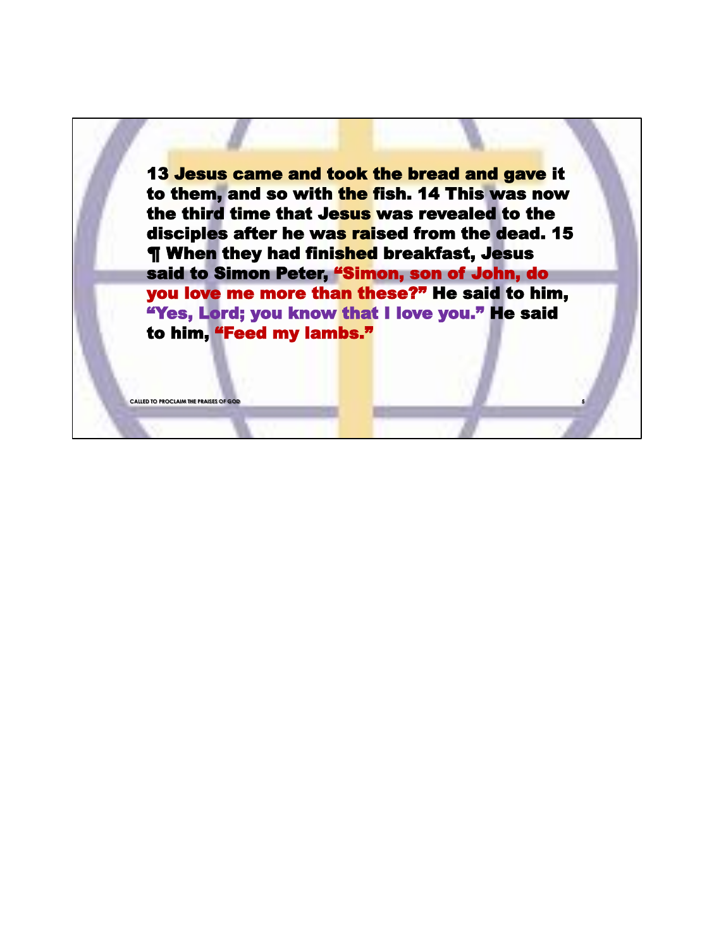13 Jesus came and took the bread and gave it to them, and so with the fish. 14 This was now the third time that Jesus was revealed to the disciples after he was raised from the dead. 15 **T** When they had finished breakfast, Jesus said to Simon Peter, "Simon, son of John, do you love me more than these?" He said to him, "Yes, Lord; you know that I love you." He said to him, "Feed my lambs."

**CALLED TO PROCLAIM THE PRAISES OF GO**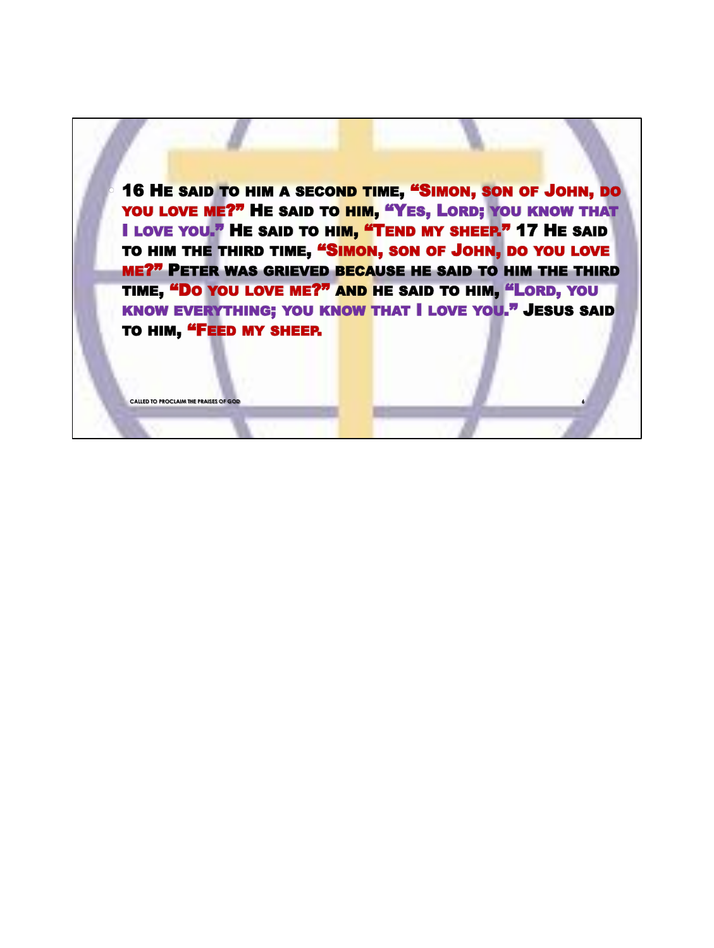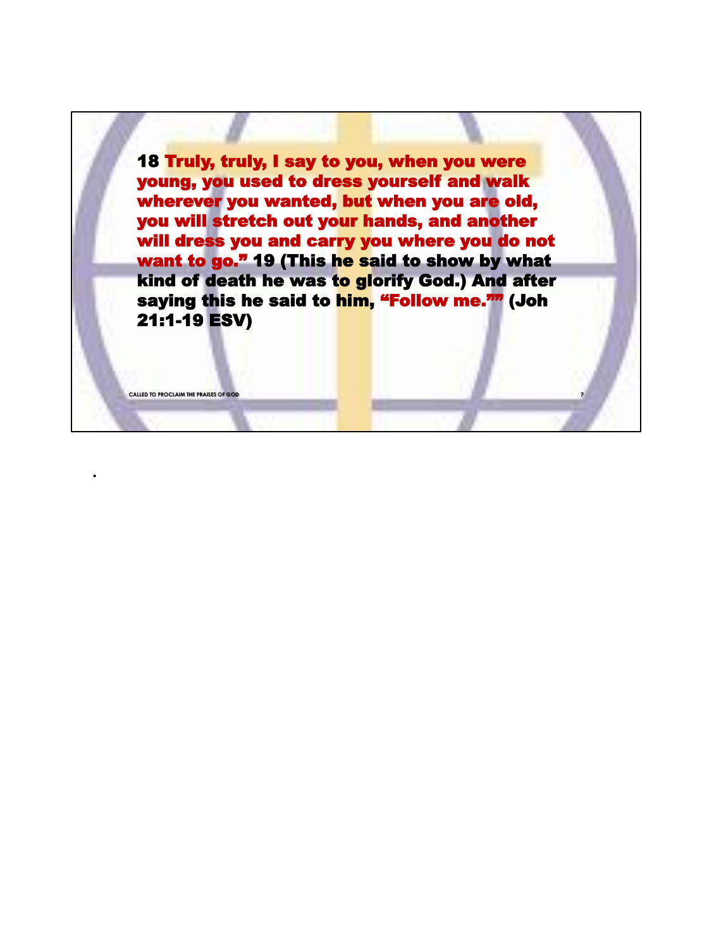18 Truly, truly, I say to you, when you were young, you used to dress yourself and walk wherever you wanted, but when you are old, you will stretch out your hands, and another will dress you and carry you where you do not want to go." 19 (This he said to show by what kind of death he was to glorify God.) And after saying this he said to him, "Follow me."" (Joh 21:1-19 ESV)

**CALLED TO PROCLAIM THE PRAISES OF GOD** 

.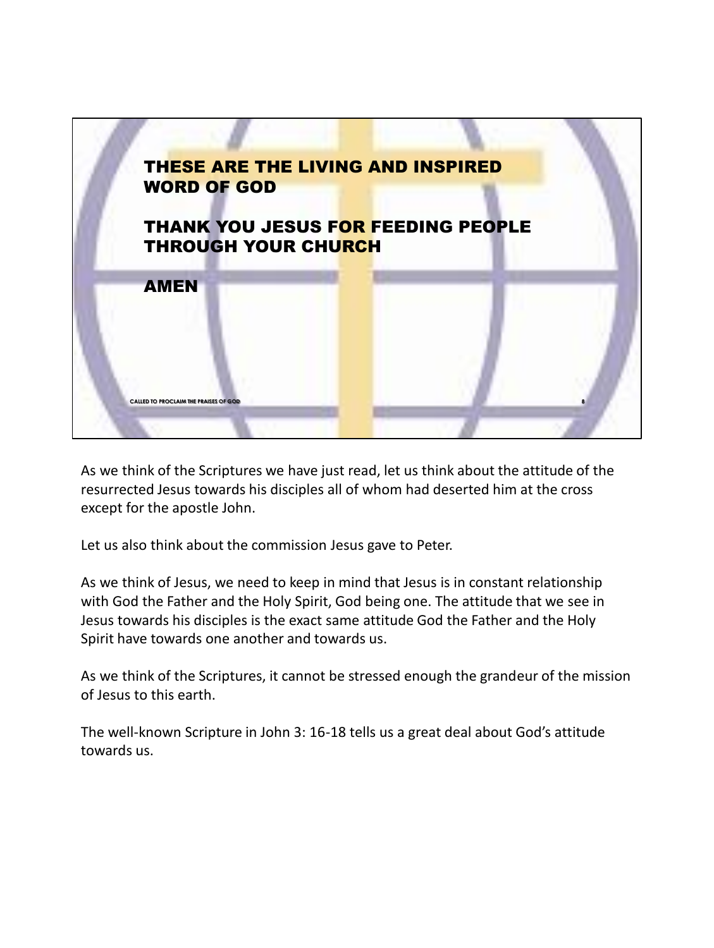

As we think of the Scriptures we have just read, let us think about the attitude of the resurrected Jesus towards his disciples all of whom had deserted him at the cross except for the apostle John.

Let us also think about the commission Jesus gave to Peter.

As we think of Jesus, we need to keep in mind that Jesus is in constant relationship with God the Father and the Holy Spirit, God being one. The attitude that we see in Jesus towards his disciples is the exact same attitude God the Father and the Holy Spirit have towards one another and towards us.

As we think of the Scriptures, it cannot be stressed enough the grandeur of the mission of Jesus to this earth.

The well-known Scripture in John 3: 16-18 tells us a great deal about God's attitude towards us.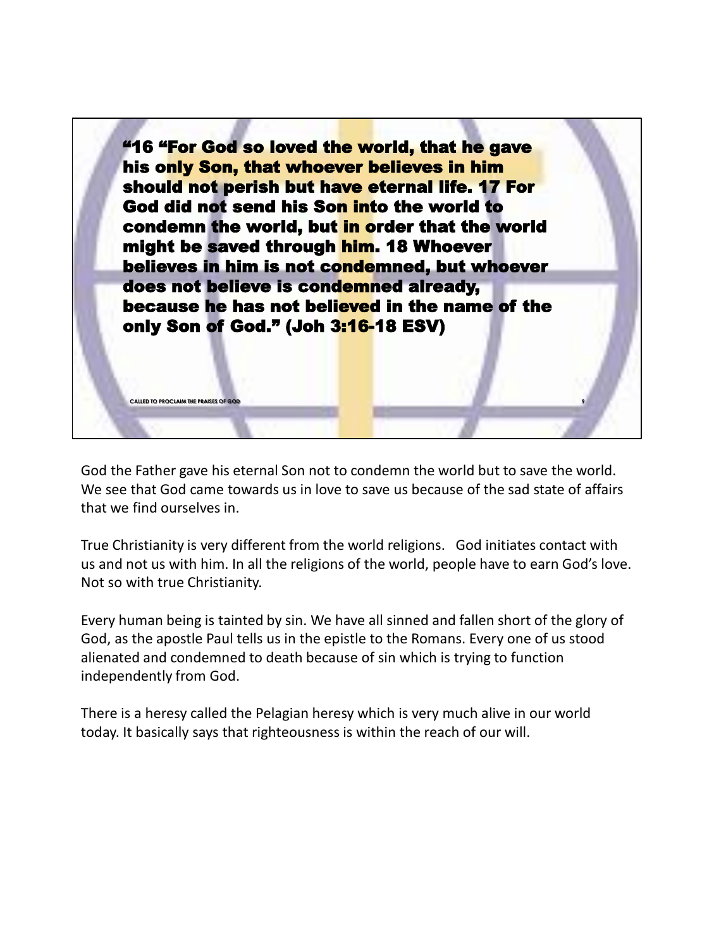

God the Father gave his eternal Son not to condemn the world but to save the world. We see that God came towards us in love to save us because of the sad state of affairs that we find ourselves in.

True Christianity is very different from the world religions. God initiates contact with us and not us with him. In all the religions of the world, people have to earn God's love. Not so with true Christianity.

Every human being is tainted by sin. We have all sinned and fallen short of the glory of God, as the apostle Paul tells us in the epistle to the Romans. Every one of us stood alienated and condemned to death because of sin which is trying to function independently from God.

There is a heresy called the Pelagian heresy which is very much alive in our world today. It basically says that righteousness is within the reach of our will.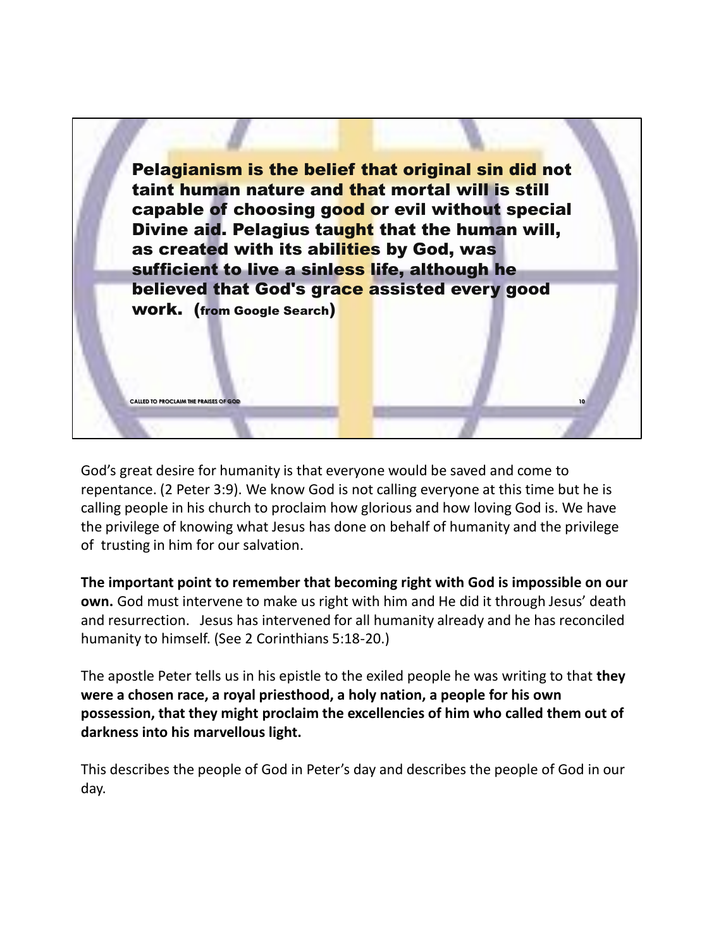

God's great desire for humanity is that everyone would be saved and come to repentance. (2 Peter 3:9). We know God is not calling everyone at this time but he is calling people in his church to proclaim how glorious and how loving God is. We have the privilege of knowing what Jesus has done on behalf of humanity and the privilege of trusting in him for our salvation.

**The important point to remember that becoming right with God is impossible on our own.** God must intervene to make us right with him and He did it through Jesus' death and resurrection. Jesus has intervened for all humanity already and he has reconciled humanity to himself. (See 2 Corinthians 5:18-20.)

The apostle Peter tells us in his epistle to the exiled people he was writing to that **they were a chosen race, a royal priesthood, a holy nation, a people for his own possession, that they might proclaim the excellencies of him who called them out of darkness into his marvellous light.**

This describes the people of God in Peter's day and describes the people of God in our day.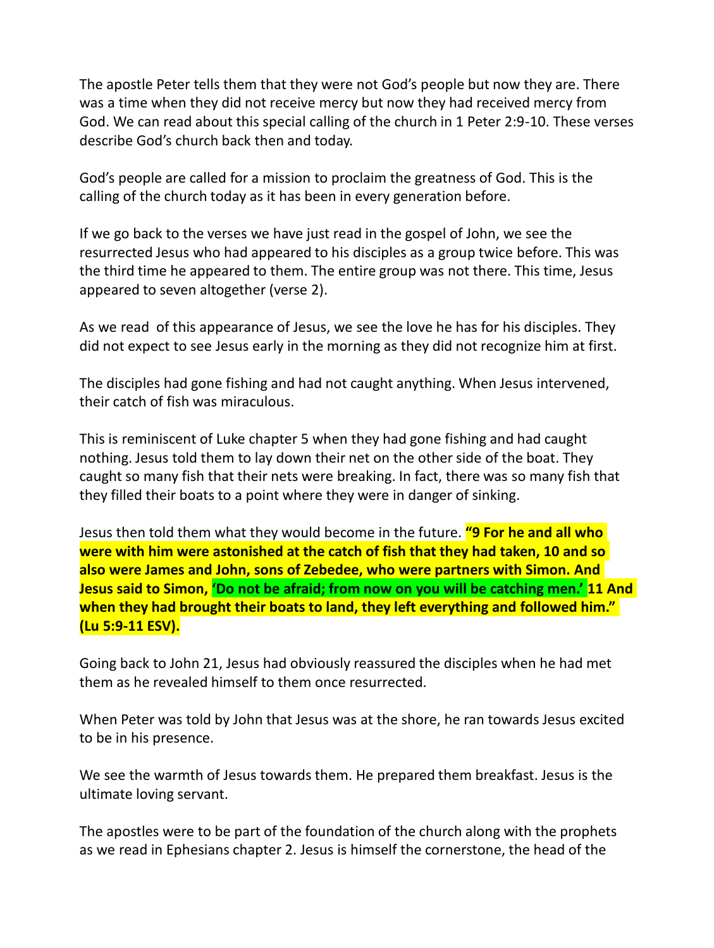The apostle Peter tells them that they were not God's people but now they are. There was a time when they did not receive mercy but now they had received mercy from God. We can read about this special calling of the church in 1 Peter 2:9-10. These verses describe God's church back then and today.

God's people are called for a mission to proclaim the greatness of God. This is the calling of the church today as it has been in every generation before.

If we go back to the verses we have just read in the gospel of John, we see the resurrected Jesus who had appeared to his disciples as a group twice before. This was the third time he appeared to them. The entire group was not there. This time, Jesus appeared to seven altogether (verse 2).

As we read of this appearance of Jesus, we see the love he has for his disciples. They did not expect to see Jesus early in the morning as they did not recognize him at first.

The disciples had gone fishing and had not caught anything. When Jesus intervened, their catch of fish was miraculous.

This is reminiscent of Luke chapter 5 when they had gone fishing and had caught nothing. Jesus told them to lay down their net on the other side of the boat. They caught so many fish that their nets were breaking. In fact, there was so many fish that they filled their boats to a point where they were in danger of sinking.

Jesus then told them what they would become in the future. **"9 For he and all who were with him were astonished at the catch of fish that they had taken, 10 and so also were James and John, sons of Zebedee, who were partners with Simon. And Jesus said to Simon, 'Do not be afraid; from now on you will be catching men.' 11 And when they had brought their boats to land, they left everything and followed him." (Lu 5:9-11 ESV).**

Going back to John 21, Jesus had obviously reassured the disciples when he had met them as he revealed himself to them once resurrected.

When Peter was told by John that Jesus was at the shore, he ran towards Jesus excited to be in his presence.

We see the warmth of Jesus towards them. He prepared them breakfast. Jesus is the ultimate loving servant.

The apostles were to be part of the foundation of the church along with the prophets as we read in Ephesians chapter 2. Jesus is himself the cornerstone, the head of the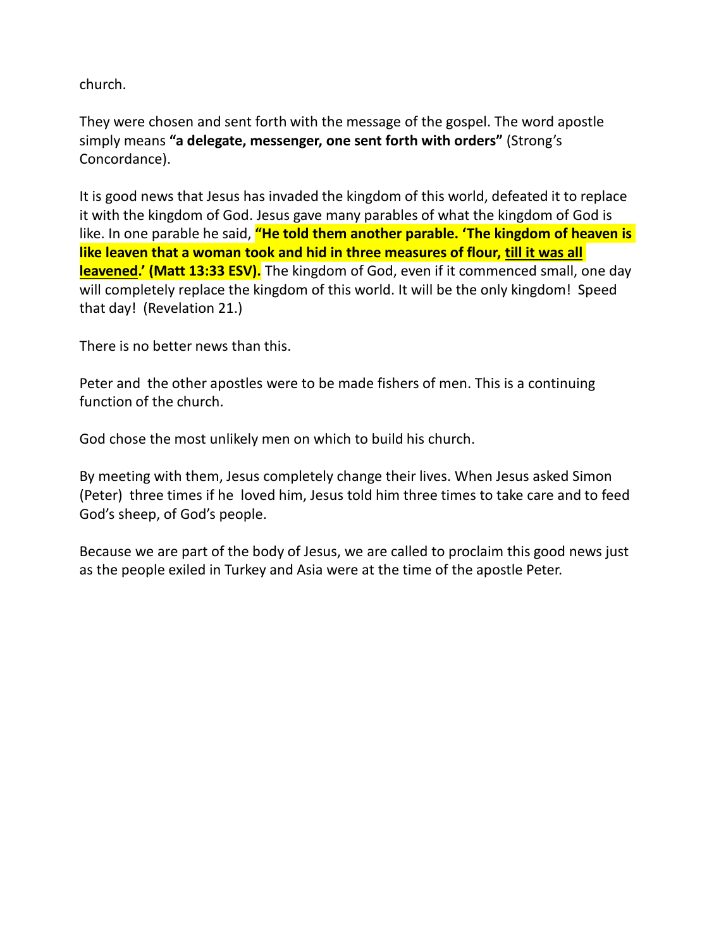church.

They were chosen and sent forth with the message of the gospel. The word apostle simply means **"a delegate, messenger, one sent forth with orders"** (Strong's Concordance).

It is good news that Jesus has invaded the kingdom of this world, defeated it to replace it with the kingdom of God. Jesus gave many parables of what the kingdom of God is like. In one parable he said, **"He told them another parable. 'The kingdom of heaven is like leaven that a woman took and hid in three measures of flour, till it was all leavened.' (Matt 13:33 ESV).** The kingdom of God, even if it commenced small, one day will completely replace the kingdom of this world. It will be the only kingdom! Speed that day! (Revelation 21.)

There is no better news than this.

Peter and the other apostles were to be made fishers of men. This is a continuing function of the church.

God chose the most unlikely men on which to build his church.

By meeting with them, Jesus completely change their lives. When Jesus asked Simon (Peter) three times if he loved him, Jesus told him three times to take care and to feed God's sheep, of God's people.

Because we are part of the body of Jesus, we are called to proclaim this good news just as the people exiled in Turkey and Asia were at the time of the apostle Peter.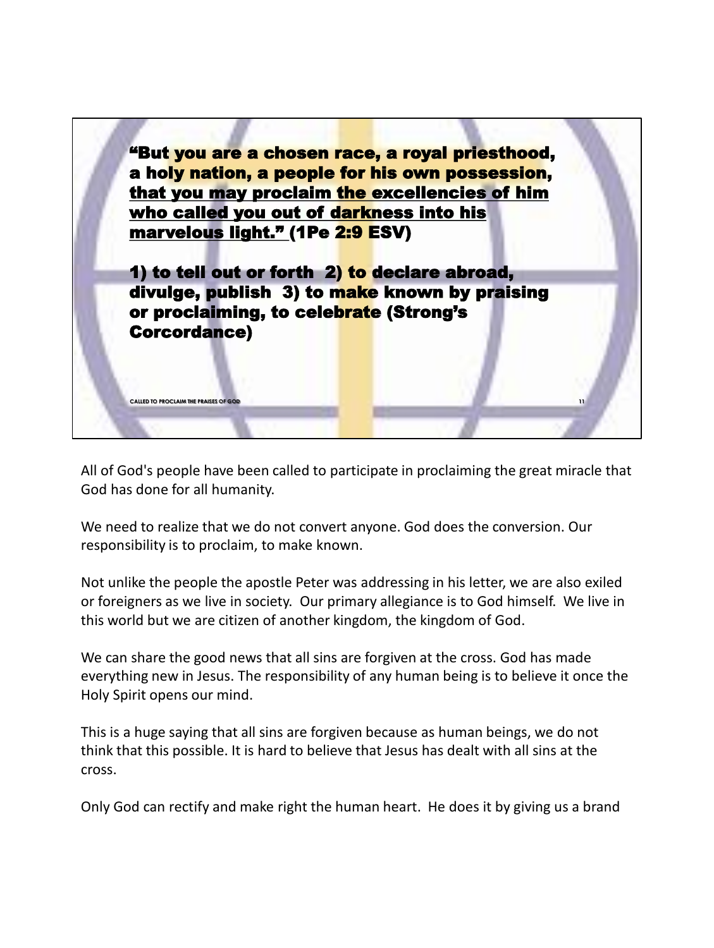

All of God's people have been called to participate in proclaiming the great miracle that God has done for all humanity.

We need to realize that we do not convert anyone. God does the conversion. Our responsibility is to proclaim, to make known.

Not unlike the people the apostle Peter was addressing in his letter, we are also exiled or foreigners as we live in society. Our primary allegiance is to God himself. We live in this world but we are citizen of another kingdom, the kingdom of God.

We can share the good news that all sins are forgiven at the cross. God has made everything new in Jesus. The responsibility of any human being is to believe it once the Holy Spirit opens our mind.

This is a huge saying that all sins are forgiven because as human beings, we do not think that this possible. It is hard to believe that Jesus has dealt with all sins at the cross.

Only God can rectify and make right the human heart. He does it by giving us a brand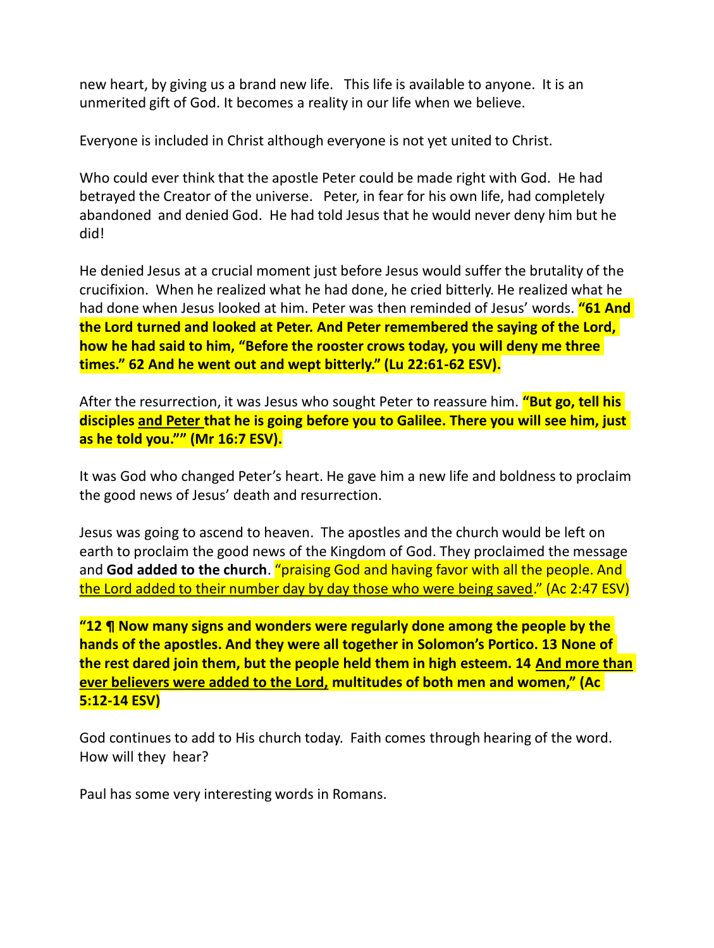new heart, by giving us a brand new life. This life is available to anyone. It is an unmerited gift of God. It becomes a reality in our life when we believe.

Everyone is included in Christ although everyone is not yet united to Christ.

Who could ever think that the apostle Peter could be made right with God. He had betrayed the Creator of the universe. Peter, in fear for his own life, had completely abandoned and denied God. He had told Jesus that he would never deny him but he did!

He denied Jesus at a crucial moment just before Jesus would suffer the brutality of the crucifixion. When he realized what he had done, he cried bitterly. He realized what he had done when Jesus looked at him. Peter was then reminded of Jesus' words. **"61 And the Lord turned and looked at Peter. And Peter remembered the saying of the Lord, how he had said to him, "Before the rooster crows today, you will deny me three times." 62 And he went out and wept bitterly." (Lu 22:61-62 ESV).**

After the resurrection, it was Jesus who sought Peter to reassure him. **"But go, tell his disciples and Peter that he is going before you to Galilee. There you will see him, just as he told you."" (Mr 16:7 ESV).**

It was God who changed Peter's heart. He gave him a new life and boldness to proclaim the good news of Jesus' death and resurrection.

Jesus was going to ascend to heaven. The apostles and the church would be left on earth to proclaim the good news of the Kingdom of God. They proclaimed the message and **God added to the church**. "praising God and having favor with all the people. And the Lord added to their number day by day those who were being saved." (Ac 2:47 ESV)

**"12 ¶ Now many signs and wonders were regularly done among the people by the hands of the apostles. And they were all together in Solomon's Portico. 13 None of the rest dared join them, but the people held them in high esteem. 14 And more than ever believers were added to the Lord, multitudes of both men and women," (Ac 5:12-14 ESV)**

God continues to add to His church today. Faith comes through hearing of the word. How will they hear?

Paul has some very interesting words in Romans.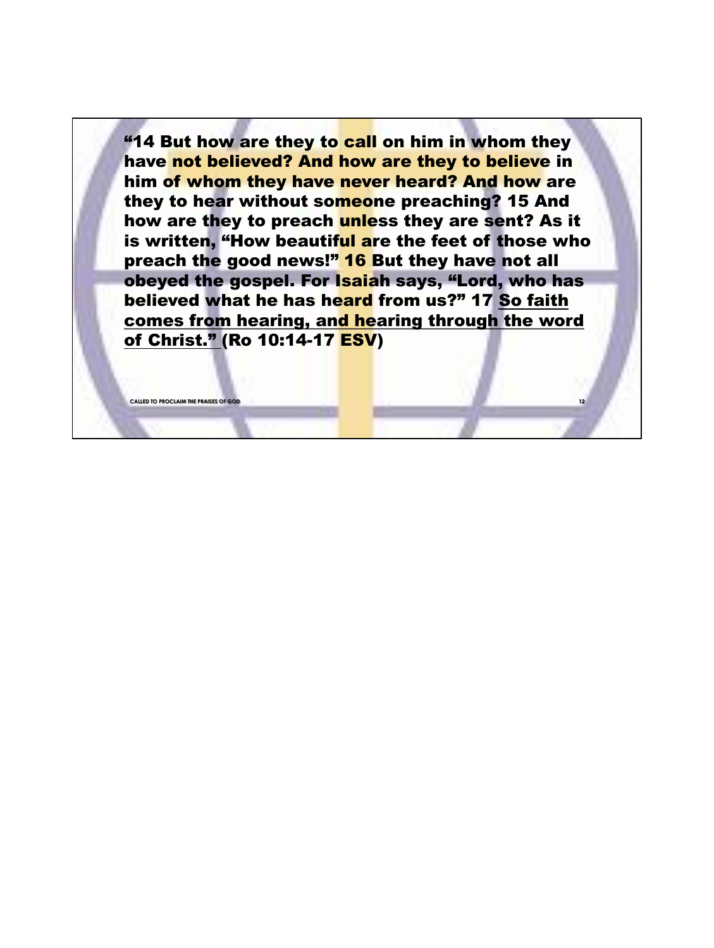"14 But how are they to call on him in whom they have not believed? And how are they to believe in him of whom they have never heard? And how are they to hear without someone preaching? 15 And how are they to preach unless they are sent? As it is written, "How beautiful are the feet of those who preach the good news!" 16 But they have not all obeyed the gospel. For Isaiah says, "Lord, who has believed what he has heard from us?" 17 So faith comes from hearing, and hearing through the word of Christ." (Ro 10:14-17 ESV)

**12**

**CALLED TO PROCLAIM THE PRAISES OF GO**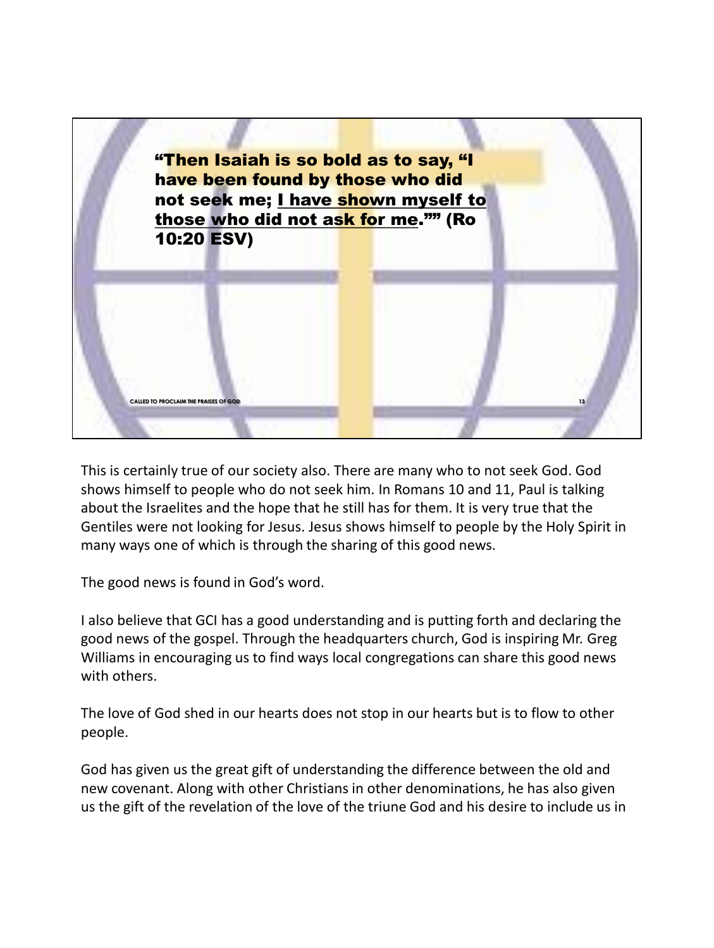

This is certainly true of our society also. There are many who to not seek God. God shows himself to people who do not seek him. In Romans 10 and 11, Paul is talking about the Israelites and the hope that he still has for them. It is very true that the Gentiles were not looking for Jesus. Jesus shows himself to people by the Holy Spirit in many ways one of which is through the sharing of this good news.

The good news is found in God's word.

I also believe that GCI has a good understanding and is putting forth and declaring the good news of the gospel. Through the headquarters church, God is inspiring Mr. Greg Williams in encouraging us to find ways local congregations can share this good news with others.

The love of God shed in our hearts does not stop in our hearts but is to flow to other people.

God has given us the great gift of understanding the difference between the old and new covenant. Along with other Christians in other denominations, he has also given us the gift of the revelation of the love of the triune God and his desire to include us in